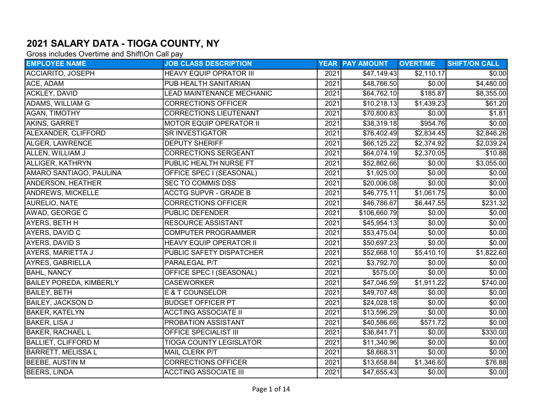## 2021 SALARY DATA - TIOGA COUNTY, NY

Gross includes Overtime and Shift\On Call pay

| <b>EMPLOYEE NAME</b>           | <b>JOB CLASS DESCRIPTION</b>   |      | <b>YEAR PAY AMOUNT</b>  | <b>OVERTIME</b> | <b>SHIFT/ON CALL</b> |
|--------------------------------|--------------------------------|------|-------------------------|-----------------|----------------------|
| ACCIARITO, JOSEPH              | <b>HEAVY EQUIP OPRATOR III</b> | 2021 | \$47,149.43             | \$2,110.17      | \$0.00]              |
| ACE, ADAM                      | PUB HEALTH SANITARIAN          | 2021 | \$48,766.50             | \$0.00          | \$4,480.00           |
| ACKLEY, DAVID                  | LEAD MAINTENANCE MECHANIC      | 2021 | $\overline{$64,762.10}$ | \$185.87        | \$8,355.00           |
| ADAMS, WILLIAM G               | <b>CORRECTIONS OFFICER</b>     | 2021 | \$10,218.13             | \$1,439.23      | \$61.20              |
| <b>AGAN, TIMOTHY</b>           | <b>CORRECTIONS LIEUTENANT</b>  | 2021 | \$70,800.83             | \$0.00          | \$1.81               |
| AKINS, GARRET                  | <b>MOTOR EQUIP OPERATOR II</b> | 2021 | \$38,319.18             | \$954.76        | \$0.00               |
| ALEXANDER, CLIFFORD            | SR INVESTIGATOR                | 2021 | \$76,402.49             | \$2,834.45      | \$2,846.26           |
| ALGER, LAWRENCE                | <b>DEPUTY SHERIFF</b>          | 2021 | \$66,125.22             | \$2,374.92      | \$2,039.24           |
| ALLEN, WILLIAM J               | <b>CORRECTIONS SERGEANT</b>    | 2021 | \$64,074.19             | \$2,370.05      | \$10.88              |
| ALLIGER, KATHRYN               | PUBLIC HEALTH NURSE FT         | 2021 | \$52,862.66             | \$0.00          | \$3,055.00           |
| AMARO SANTIAGO, PAULINA        | OFFICE SPEC I (SEASONAL)       | 2021 | \$1,925.00              | \$0.00          | \$0.00               |
| <b>ANDERSON, HEATHER</b>       | <b>SEC TO COMMIS DSS</b>       | 2021 | \$20,006.08             | \$0.00          | \$0.00]              |
| <b>ANDREWS, MICKELLE</b>       | <b>ACCTG SUPVR - GRADE B</b>   | 2021 | \$46,775.11             | \$1,061.75      | \$0.00]              |
| <b>AURELIO, NATE</b>           | <b>CORRECTIONS OFFICER</b>     | 2021 | \$46,786.67             | \$6,447.55      | \$231.32             |
| AWAD, GEORGE C                 | PUBLIC DEFENDER                | 2021 | \$106,660.79            | \$0.00          | \$0.00]              |
| AYERS, BETH H                  | <b>RESOURCE ASSISTANT</b>      | 2021 | \$45,954.13             | \$0.00          | \$0.00               |
| AYERS, DAVID C                 | <b>COMPUTER PROGRAMMER</b>     | 2021 | \$53,475.04             | \$0.00          | \$0.00               |
| <b>AYERS, DAVID S</b>          | <b>HEAVY EQUIP OPERATOR II</b> | 2021 | \$50,697.23             | \$0.00          | \$0.00]              |
| AYERS, MARIETTA J              | PUBLIC SAFETY DISPATCHER       | 2021 | \$52,668.10             | \$5,410.10      | \$1,822.60           |
| AYRES, GABRIELLA               | PARALEGAL P/T                  | 2021 | \$3,792.70              | \$0.00          | \$0.00]              |
| <b>BAHL, NANCY</b>             | OFFICE SPEC I (SEASONAL)       | 2021 | \$575.00                | \$0.00          | \$0.00]              |
| <b>BAILEY POREDA, KIMBERLY</b> | <b>CASEWORKER</b>              | 2021 | \$47,046.59             | \$1,911.22      | \$740.00             |
| <b>BAILEY, BETH</b>            | E & T COUNSELOR                | 2021 | \$49,707.48             | \$0.00          | \$0.00               |
| <b>BAILEY, JACKSON D</b>       | <b>BUDGET OFFICER PT</b>       | 2021 | \$24,028.18             | \$0.00          | \$0.00               |
| <b>BAKER, KATELYN</b>          | <b>ACCTING ASSOCIATE II</b>    | 2021 | \$13,596.29             | \$0.00          | \$0.00               |
| BAKER, LISA J                  | PROBATION ASSISTANT            | 2021 | \$40,586.66             | \$571.72        | \$0.00]              |
| <b>BAKER, RACHAEL L</b>        | OFFICE SPECIALIST III          | 2021 | \$36,841.71             | \$0.00          | \$330.00             |
| <b>BALLIET, CLIFFORD M</b>     | <b>TIOGA COUNTY LEGISLATOR</b> | 2021 | \$11,340.96             | \$0.00          | \$0.00               |
| <b>BARRETT, MELISSA L</b>      | MAIL CLERK P/T                 | 2021 | \$8,668.31              | \$0.00          | \$0.00               |
| <b>BEEBE, AUSTIN M</b>         | <b>CORRECTIONS OFFICER</b>     | 2021 | \$13,658.84             | \$1,346.60      | \$76.88              |
| <b>BEERS, LINDA</b>            | <b>ACCTING ASSOCIATE III</b>   | 2021 | \$47,655.43             | \$0.00          | \$0.00               |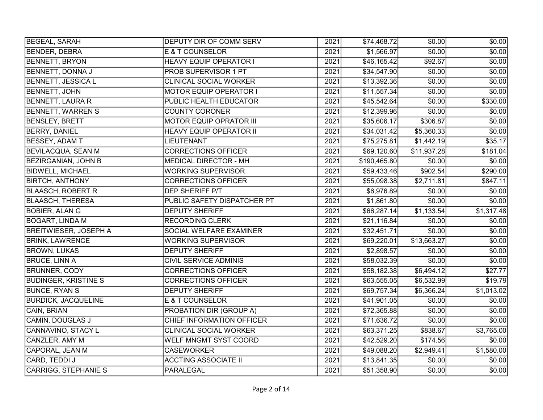| <b>BEGEAL, SARAH</b>         | DEPUTY DIR OF COMM SERV        | 2021 | \$74,468.72  | \$0.00      | \$0.00]    |
|------------------------------|--------------------------------|------|--------------|-------------|------------|
| <b>BENDER, DEBRA</b>         | E & T COUNSELOR                | 2021 | \$1,566.97   | \$0.00      | \$0.00     |
| <b>BENNETT, BRYON</b>        | <b>HEAVY EQUIP OPERATOR I</b>  | 2021 | \$46,165.42  | \$92.67     | \$0.00     |
| BENNETT, DONNA J             | <b>PROB SUPERVISOR 1 PT</b>    | 2021 | \$34,547.90  | \$0.00      | \$0.00     |
| <b>BENNETT, JESSICA L</b>    | <b>CLINICAL SOCIAL WORKER</b>  | 2021 | \$13,392.36  | \$0.00      | \$0.00     |
| <b>BENNETT, JOHN</b>         | <b>MOTOR EQUIP OPERATOR I</b>  | 2021 | \$11,557.34  | \$0.00      | \$0.00     |
| <b>BENNETT, LAURA R</b>      | PUBLIC HEALTH EDUCATOR         | 2021 | \$45,542.64] | \$0.00      | \$330.00   |
| <b>BENNETT, WARREN S</b>     | <b>COUNTY CORONER</b>          | 2021 | \$12,399.96  | \$0.00      | \$0.00     |
| <b>BENSLEY, BRETT</b>        | <b>MOTOR EQUIP OPRATOR III</b> | 2021 | \$35,606.17  | \$306.87    | \$0.00     |
| <b>BERRY, DANIEL</b>         | <b>HEAVY EQUIP OPERATOR II</b> | 2021 | \$34,031.42  | \$5,360.33  | \$0.00     |
| <b>BESSEY, ADAM T</b>        | <b>LIEUTENANT</b>              | 2021 | \$75,275.81  | \$1,442.19  | \$35.17    |
| <b>BEVILACQUA, SEAN M</b>    | <b>CORRECTIONS OFFICER</b>     | 2021 | \$69,120.60  | \$11,937.28 | \$181.04   |
| <b>BEZIRGANIAN, JOHN B</b>   | <b>MEDICAL DIRECTOR - MH</b>   | 2021 | \$190,465.80 | \$0.00      | \$0.00]    |
| <b>BIDWELL, MICHAEL</b>      | <b>WORKING SUPERVISOR</b>      | 2021 | \$59,433.46  | \$902.54    | \$290.00   |
| <b>BIRTCH, ANTHONY</b>       | <b>CORRECTIONS OFFICER</b>     | 2021 | \$55,098.38  | \$2,711.81  | \$847.11   |
| <b>BLAASCH, ROBERT R</b>     | DEP SHERIFF P/T                | 2021 | \$6,976.89   | \$0.00      | \$0.00]    |
| <b>BLAASCH, THERESA</b>      | PUBLIC SAFETY DISPATCHER PT    | 2021 | \$1,861.80   | \$0.00      | \$0.00]    |
| <b>BOBIER, ALAN G</b>        | <b>DEPUTY SHERIFF</b>          | 2021 | \$66,287.14  | \$1,133.54  | \$1,317.48 |
| <b>BOGART, LINDA M</b>       | <b>RECORDING CLERK</b>         | 2021 | \$21,116.84] | \$0.00      | \$0.00     |
| <b>BREITWIESER, JOSEPH A</b> | SOCIAL WELFARE EXAMINER        | 2021 | \$32,451.71  | \$0.00      | \$0.00     |
| <b>BRINK, LAWRENCE</b>       | <b>WORKING SUPERVISOR</b>      | 2021 | \$69,220.01  | \$13,663.27 | \$0.00]    |
| <b>BROWN, LUKAS</b>          | <b>DEPUTY SHERIFF</b>          | 2021 | \$2,898.57   | \$0.00      | \$0.00     |
| <b>BRUCE, LINN A</b>         | <b>CIVIL SERVICE ADMINIS</b>   | 2021 | \$58,032.39  | \$0.00      | \$0.00]    |
| <b>BRUNNER, CODY</b>         | <b>CORRECTIONS OFFICER</b>     | 2021 | \$58,182.38  | \$6,494.12  | \$27.77    |
| <b>BUDINGER, KRISTINE S</b>  | <b>CORRECTIONS OFFICER</b>     | 2021 | \$63,555.05  | \$6,532.99  | \$19.79    |
| <b>BUNCE, RYAN S</b>         | <b>DEPUTY SHERIFF</b>          | 2021 | \$69,757.34  | \$6,366.24  | \$1,013.02 |
| <b>BURDICK, JACQUELINE</b>   | <b>E &amp; T COUNSELOR</b>     | 2021 | \$41,901.05  | \$0.00      | \$0.00]    |
| CAIN, BRIAN                  | PROBATION DIR (GROUP A)        | 2021 | \$72,365.88  | \$0.00      | \$0.00     |
| <b>CAMIN, DOUGLAS J</b>      | CHIEF INFORMATION OFFICER      | 2021 | \$71,636.72  | \$0.00      | \$0.00     |
| CANNAVINO, STACY L           | <b>CLINICAL SOCIAL WORKER</b>  | 2021 | \$63,371.25  | \$838.67    | \$3,765.00 |
| CANZLER, AMY M               | WELF MNGMT SYST COORD          | 2021 | \$42,529.20  | \$174.56    | \$0.00]    |
| CAPORAL, JEAN M              | <b>CASEWORKER</b>              | 2021 | \$49,088.20  | \$2,949.41  | \$1,580.00 |
| CARD, TEDDI J                | <b>ACCTING ASSOCIATE II</b>    | 2021 | \$13,841.35  | \$0.00      | \$0.00]    |
| <b>CARRIGG, STEPHANIE S</b>  | <b>PARALEGAL</b>               | 2021 | \$51,358.90  | \$0.00      | \$0.00     |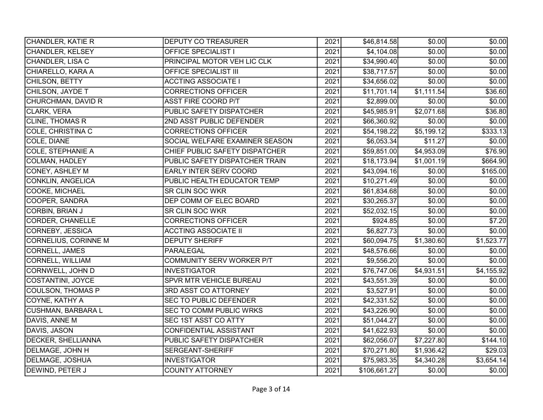| CHANDLER, KATIE R         | <b>DEPUTY CO TREASURER</b>     | 2021 | \$46,814.58] | \$0.00     | \$0.00     |
|---------------------------|--------------------------------|------|--------------|------------|------------|
| CHANDLER, KELSEY          | <b>OFFICE SPECIALIST I</b>     | 2021 | \$4,104.08]  | \$0.00     | \$0.00     |
| CHANDLER, LISA C          | PRINCIPAL MOTOR VEH LIC CLK    | 2021 | \$34,990.40  | \$0.00     | \$0.00     |
| CHIARELLO, KARA A         | <b>OFFICE SPECIALIST III</b>   | 2021 | \$38,717.57  | \$0.00     | \$0.00     |
| CHILSON, BETTY            | <b>ACCTING ASSOCIATE I</b>     | 2021 | \$34,656.02  | \$0.00     | \$0.00     |
| CHILSON, JAYDE T          | <b>CORRECTIONS OFFICER</b>     | 2021 | \$11,701.14] | \$1,111.54 | \$36.60    |
| CHURCHMAN, DAVID R        | ASST FIRE COORD P/T            | 2021 | \$2,899.00   | \$0.00     | \$0.00     |
| <b>CLARK, VERA</b>        | PUBLIC SAFETY DISPATCHER       | 2021 | \$45,985.91  | \$2,071.68 | \$36.80    |
| <b>CLINE, THOMAS R</b>    | 2ND ASST PUBLIC DEFENDER       | 2021 | \$66,360.92  | \$0.00     | \$0.00]    |
| COLE, CHRISTINA C         | <b>CORRECTIONS OFFICER</b>     | 2021 | \$54,198.22  | \$5,199.12 | \$333.13   |
| COLE, DIANE               | SOCIAL WELFARE EXAMINER SEASON | 2021 | \$6,053.34   | \$11.27    | \$0.00]    |
| <b>COLE, STEPHANIE A</b>  | CHIEF PUBLIC SAFETY DISPATCHER | 2021 | \$59,851.00  | \$4,953.09 | \$76.90    |
| COLMAN, HADLEY            | PUBLIC SAFETY DISPATCHER TRAIN | 2021 | \$18,173.94  | \$1,001.19 | \$664.90   |
| CONEY, ASHLEY M           | EARLY INTER SERV COORD         | 2021 | \$43,094.16  | \$0.00     | \$165.00   |
| <b>CONKLIN, ANGELICA</b>  | PUBLIC HEALTH EDUCATOR TEMP    | 2021 | \$10,271.49  | \$0.00     | \$0.00     |
| COOKE, MICHAEL            | SR CLIN SOC WKR                | 2021 | \$61,834.68  | \$0.00     | \$0.00]    |
| COOPER, SANDRA            | DEP COMM OF ELEC BOARD         | 2021 | \$30,265.37  | \$0.00     | \$0.00     |
| <b>CORBIN, BRIAN J</b>    | <b>SR CLIN SOC WKR</b>         | 2021 | \$52,032.15  | \$0.00     | \$0.00     |
| <b>CORDER, CHANELLE</b>   | <b>CORRECTIONS OFFICER</b>     | 2021 | \$924.85     | \$0.00     | \$7.20     |
| <b>CORNEBY, JESSICA</b>   | <b>ACCTING ASSOCIATE II</b>    | 2021 | \$6,827.73   | \$0.00     | \$0.00     |
| CORNELIUS, CORINNE M      | <b>DEPUTY SHERIFF</b>          | 2021 | \$60,094.75  | \$1,380.60 | \$1,523.77 |
| CORNELL, JAMES            | PARALEGAL                      | 2021 | \$48,576.66  | \$0.00     | \$0.00]    |
| <b>CORNELL, WILLIAM</b>   | COMMUNITY SERV WORKER P/T      | 2021 | \$9,556.20   | \$0.00     | \$0.00     |
| CORNWELL, JOHN D          | <b>INVESTIGATOR</b>            | 2021 | \$76,747.06  | \$4,931.51 | \$4,155.92 |
| <b>COSTANTINI, JOYCE</b>  | SPVR MTR VEHICLE BUREAU        | 2021 | \$43,551.39  | \$0.00]    | \$0.00     |
| <b>COULSON, THOMAS P</b>  | 3RD ASST CO ATTORNEY           | 2021 | \$3,527.91   | \$0.00     | \$0.00     |
| COYNE, KATHY A            | <b>SEC TO PUBLIC DEFENDER</b>  | 2021 | \$42,331.52  | \$0.00     | \$0.00     |
| <b>CUSHMAN, BARBARA L</b> | SEC TO COMM PUBLIC WRKS        | 2021 | \$43,226.90  | \$0.00     | \$0.00     |
| DAVIS, ANNE M             | <b>SEC 1ST ASST CO ATTY</b>    | 2021 | \$51,044.27  | \$0.00     | \$0.00     |
| DAVIS, JASON              | <b>CONFIDENTIAL ASSISTANT</b>  | 2021 | \$41,622.93  | \$0.00     | \$0.00     |
| <b>DECKER, SHELLIANNA</b> | PUBLIC SAFETY DISPATCHER       | 2021 | \$62,056.07  | \$7,227.80 | \$144.10   |
| DELMAGE, JOHN H           | SERGEANT-SHERIFF               | 2021 | \$70,271.80  | \$1,936.42 | \$29.03    |
| <b>DELMAGE, JOSHUA</b>    | <b>INVESTIGATOR</b>            | 2021 | \$75,983.35  | \$4,340.28 | \$3,654.14 |
| DEWIND, PETER J           | <b>COUNTY ATTORNEY</b>         | 2021 | \$106,661.27 | \$0.00     | \$0.00     |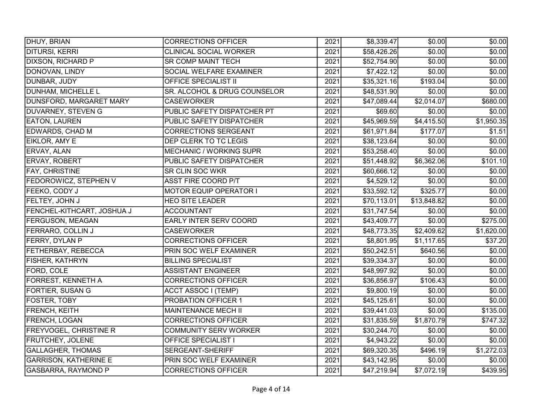| <b>DHUY, BRIAN</b>            | CORRECTIONS OFFICER            | 2021 | \$8,339.47              | \$0.00      | \$0.00     |
|-------------------------------|--------------------------------|------|-------------------------|-------------|------------|
| DITURSI, KERRI                | <b>CLINICAL SOCIAL WORKER</b>  | 2021 | \$58,426.26             | \$0.00      | \$0.00     |
| <b>DIXSON, RICHARD P</b>      | <b>SR COMP MAINT TECH</b>      | 2021 | \$52,754.90             | \$0.00      | \$0.00     |
| DONOVAN, LINDY                | SOCIAL WELFARE EXAMINER        | 2021 | \$7,422.12              | \$0.00      | \$0.00     |
| DUNBAR, JUDY                  | <b>OFFICE SPECIALIST II</b>    | 2021 | \$35,321.16             | \$193.04    | \$0.00     |
| DUNHAM, MICHELLE L            | SR. ALCOHOL & DRUG COUNSELOR   | 2021 | \$48,531.90             | \$0.00      | \$0.00]    |
| DUNSFORD, MARGARET MARY       | <b>CASEWORKER</b>              | 2021 | \$47,089.44             | \$2,014.07  | \$680.00   |
| <b>DUVARNEY, STEVEN G</b>     | PUBLIC SAFETY DISPATCHER PT    | 2021 | \$69.60                 | \$0.00      | \$0.00     |
| <b>EATON, LAUREN</b>          | PUBLIC SAFETY DISPATCHER       | 2021 | $\overline{$45,969.59}$ | \$4,415.50  | \$1,950.35 |
| EDWARDS, CHAD M               | <b>CORRECTIONS SERGEANT</b>    | 2021 | \$61,971.84             | \$177.07    | \$1.51     |
| EIKLOR, AMY E                 | DEP CLERK TO TC LEGIS          | 2021 | \$38,123.64             | \$0.00      | \$0.00]    |
| ERVAY, ALAN                   | <b>MECHANIC / WORKING SUPR</b> | 2021 | \$53,258.40             | \$0.00      | \$0.00     |
| <b>ERVAY, ROBERT</b>          | PUBLIC SAFETY DISPATCHER       | 2021 | \$51,448.92             | \$6,362.06  | \$101.10   |
| FAY, CHRISTINE                | SR CLIN SOC WKR                | 2021 | \$60,666.12             | \$0.00      | \$0.00     |
| <b>FEDOROWICZ, STEPHEN V</b>  | <b>ASST FIRE COORD P/T</b>     | 2021 | \$4,529.12              | \$0.00      | \$0.00     |
| FEEKO, CODY J                 | <b>MOTOR EQUIP OPERATOR I</b>  | 2021 | \$33,592.12]            | \$325.77    | \$0.00]    |
| FELTEY, JOHN J                | <b>HEO SITE LEADER</b>         | 2021 | \$70,113.01             | \$13,848.82 | \$0.00     |
| FENCHEL-KITHCART, JOSHUA J    | <b>ACCOUNTANT</b>              | 2021 | \$31,747.54             | \$0.00      | \$0.00     |
| <b>FERGUSON, MEAGAN</b>       | <b>EARLY INTER SERV COORD</b>  | 2021 | \$43,409.77             | \$0.00      | \$275.00   |
| <b>FERRARO, COLLIN J</b>      | <b>CASEWORKER</b>              | 2021 | \$48,773.35             | \$2,409.62  | \$1,620.00 |
| FERRY, DYLAN P                | <b>CORRECTIONS OFFICER</b>     | 2021 | \$8,801.95              | \$1,117.65  | \$37.20    |
| <b>FETHERBAY, REBECCA</b>     | PRIN SOC WELF EXAMINER         | 2021 | \$50,242.51             | \$640.56    | \$0.00]    |
| <b>FISHER, KATHRYN</b>        | <b>BILLING SPECIALIST</b>      | 2021 | \$39,334.37             | \$0.00      | \$0.00     |
| FORD, COLE                    | <b>ASSISTANT ENGINEER</b>      | 2021 | \$48,997.92             | \$0.00      | \$0.00     |
| <b>FORREST, KENNETH A</b>     | <b>CORRECTIONS OFFICER</b>     | 2021 | \$36,856.97             | \$106.43    | \$0.00     |
| <b>FORTIER, SUSAN G</b>       | <b>ACCT ASSOC I (TEMP)</b>     | 2021 | \$9,800.19              | \$0.00      | \$0.00     |
| FOSTER, TOBY                  | PROBATION OFFICER 1            | 2021 | \$45,125.61             | \$0.00      | \$0.00     |
| FRENCH, KEITH                 | MAINTENANCE MECH II            | 2021 | \$39,441.03             | \$0.00      | \$135.00   |
| FRENCH, LOGAN                 | <b>CORRECTIONS OFFICER</b>     | 2021 | \$31,835.59             | \$1,870.79  | \$747.32   |
| <b>FREYVOGEL, CHRISTINE R</b> | <b>COMMUNITY SERV WORKER</b>   | 2021 | \$30,244.70             | \$0.00      | \$0.00     |
| FRUTCHEY, JOLENE              | <b>OFFICE SPECIALIST I</b>     | 2021 | \$4,943.22              | \$0.00      | \$0.00]    |
| <b>GALLAGHER, THOMAS</b>      | SERGEANT-SHERIFF               | 2021 | \$69,320.35             | \$496.19    | \$1,272.03 |
| <b>GARRISON, KATHERINE E</b>  | PRIN SOC WELF EXAMINER         | 2021 | \$43,142.95             | \$0.00      | \$0.00]    |
| GASBARRA, RAYMOND P           | <b>CORRECTIONS OFFICER</b>     | 2021 | \$47,219.94             | \$7,072.19  | \$439.95   |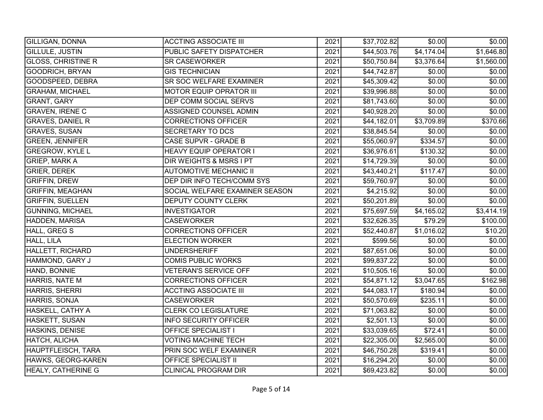| <b>GILLIGAN, DONNA</b>    | <b>ACCTING ASSOCIATE III</b>   | 2021 | \$37,702.82             | \$0.00     | \$0.00]        |
|---------------------------|--------------------------------|------|-------------------------|------------|----------------|
| <b>GILLULE, JUSTIN</b>    | PUBLIC SAFETY DISPATCHER       | 2021 | \$44,503.76             | \$4,174.04 | \$1,646.80     |
| <b>GLOSS, CHRISTINE R</b> | <b>SR CASEWORKER</b>           | 2021 | \$50,750.84]            | \$3,376.64 | \$1,560.00     |
| <b>GOODRICH, BRYAN</b>    | <b>GIS TECHNICIAN</b>          | 2021 | \$44,742.87             | \$0.00     | \$0.00         |
| GOODSPEED, DEBRA          | <b>SR SOC WELFARE EXAMINER</b> | 2021 | \$45,309.42             | \$0.00     | \$0.00         |
| <b>GRAHAM, MICHAEL</b>    | MOTOR EQUIP OPRATOR III        | 2021 | \$39,996.88             | \$0.00     | \$0.00         |
| <b>GRANT, GARY</b>        | DEP COMM SOCIAL SERVS          | 2021 | \$81,743.60             | \$0.00     | \$0.00         |
| <b>GRAVEN, IRENE C</b>    | ASSIGNED COUNSEL ADMIN         | 2021 | \$40,928.20             | \$0.00     | \$0.00         |
| <b>GRAVES, DANIEL R</b>   | <b>CORRECTIONS OFFICER</b>     | 2021 | \$44,182.01             | \$3,709.89 | \$370.66       |
| <b>GRAVES, SUSAN</b>      | <b>SECRETARY TO DCS</b>        | 2021 | \$38,845.54             | \$0.00     | \$0.00         |
| <b>GREEN, JENNIFER</b>    | CASE SUPVR - GRADE B           | 2021 | \$55,060.97             | \$334.57   | \$0.00]        |
| <b>GREGROW, KYLE L</b>    | <b>HEAVY EQUIP OPERATOR I</b>  | 2021 | \$36,976.61             | \$130.32   | \$0.00         |
| <b>GRIEP, MARK A</b>      | DIR WEIGHTS & MSRS I PT        | 2021 | \$14,729.39             | \$0.00     | \$0.00         |
| <b>GRIER, DEREK</b>       | <b>AUTOMOTIVE MECHANIC II</b>  | 2021 | \$43,440.21             | \$117.47   | \$0.00         |
| <b>GRIFFIN, DREW</b>      | DEP DIR INFO TECH/COMM SYS     | 2021 | \$59,760.97             | \$0.00     | \$0.00         |
| <b>GRIFFIN, MEAGHAN</b>   | SOCIAL WELFARE EXAMINER SEASON | 2021 | \$4,215.92              | \$0.00     | \$0.00]        |
| <b>GRIFFIN, SUELLEN</b>   | <b>DEPUTY COUNTY CLERK</b>     | 2021 | \$50,201.89             | \$0.00     | \$0.00         |
| <b>GUNNING, MICHAEL</b>   | <b>INVESTIGATOR</b>            | 2021 | \$75,697.59             | \$4,165.02 | \$3,414.19     |
| HADDEN, MARISA            | <b>CASEWORKER</b>              | 2021 | \$32,626.35             | \$79.29    | \$100.00       |
| <b>HALL, GREG S</b>       | <b>CORRECTIONS OFFICER</b>     | 2021 | \$52,440.87             | \$1,016.02 | \$10.20        |
| HALL, LILA                | <b>ELECTION WORKER</b>         | 2021 | \$599.56                | \$0.00     | \$0.00         |
| <b>HALLETT, RICHARD</b>   | <b>UNDERSHERIFF</b>            | 2021 | \$87,651.06             | \$0.00     | \$0.00         |
| HAMMOND, GARY J           | <b>COMIS PUBLIC WORKS</b>      | 2021 | \$99,837.22             | \$0.00     | \$0.00         |
| HAND, BONNIE              | <b>VETERAN'S SERVICE OFF</b>   | 2021 | $\overline{$10,505.16}$ | \$0.00     | \$0.00         |
| <b>HARRIS, NATE M</b>     | <b>CORRECTIONS OFFICER</b>     | 2021 | \$54,871.12             | \$3,047.65 | \$162.98       |
| HARRIS, SHERRI            | <b>ACCTING ASSOCIATE III</b>   | 2021 | \$44,083.17             | \$180.94   | \$0.00         |
| HARRIS, SONJA             | <b>CASEWORKER</b>              | 2021 | \$50,570.69             | \$235.11   | \$0.00         |
| HASKELL, CATHY A          | <b>CLERK CO LEGISLATURE</b>    | 2021 | \$71,063.82             | \$0.00     | \$0.00         |
| <b>HASKETT, SUSAN</b>     | <b>INFO SECURITY OFFICER</b>   | 2021 | \$2,501.13              | \$0.00     | \$0.00         |
| <b>HASKINS, DENISE</b>    | <b>OFFICE SPECIALIST I</b>     | 2021 | \$33,039.65             | \$72.41    | \$0.00         |
| HATCH, ALICHA             | <b>VOTING MACHINE TECH</b>     | 2021 | \$22,305.00             | \$2,565.00 | $\sqrt{$0.00}$ |
| HAUPTFLEISCH, TARA        | PRIN SOC WELF EXAMINER         | 2021 | \$46,750.28             | \$319.41   | \$0.00]        |
| HAWKS, GEORG-KAREN        | <b>OFFICE SPECIALIST II</b>    | 2021 | \$16,294.20             | \$0.00     | \$0.00         |
| <b>HEALY, CATHERINE G</b> | <b>CLINICAL PROGRAM DIR</b>    | 2021 | \$69,423.82             | \$0.00     | \$0.00         |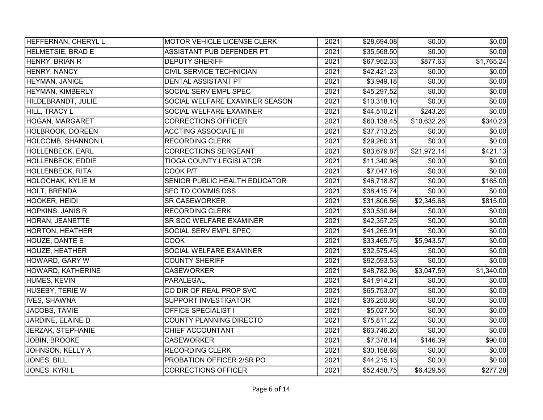| HEFFERNAN, CHERYL L       | MOTOR VEHICLE LICENSE CLERK     | 2021 | \$28,694.08  | \$0.00      | \$0.00]    |
|---------------------------|---------------------------------|------|--------------|-------------|------------|
| <b>HELMETSIE, BRAD E</b>  | ASSISTANT PUB DEFENDER PT       | 2021 | \$35,568.50  | \$0.00      | \$0.00     |
| HENRY, BRIAN R            | <b>DEPUTY SHERIFF</b>           | 2021 | \$67,952.33  | \$877.63    | \$1,765.24 |
| HENRY, NANCY              | <b>CIVIL SERVICE TECHNICIAN</b> | 2021 | \$42,421.23  | \$0.00      | \$0.00]    |
| HEYMAN, JANICE            | <b>DENTAL ASSISTANT PT</b>      | 2021 | \$3,949.18   | \$0.00      | \$0.00     |
| <b>HEYMAN, KIMBERLY</b>   | SOCIAL SERV EMPL SPEC           | 2021 | \$45,297.52  | \$0.00      | \$0.00     |
| HILDEBRANDT, JULIE        | SOCIAL WELFARE EXAMINER SEASON  | 2021 | \$10,318.10  | \$0.00      | \$0.00     |
| <b>HILL, TRACY L</b>      | SOCIAL WELFARE EXAMINER         | 2021 | \$44,510.21  | \$243.26    | \$0.00     |
| <b>HOGAN, MARGARET</b>    | <b>CORRECTIONS OFFICER</b>      | 2021 | \$60,138.45  | \$10,632.26 | \$340.23   |
| HOLBROOK, DOREEN          | <b>ACCTING ASSOCIATE III</b>    | 2021 | \$37,713.25  | \$0.00      | \$0.00     |
| <b>HOLCOMB, SHANNON L</b> | <b>RECORDING CLERK</b>          | 2021 | \$29,260.31  | \$0.00      | \$0.00     |
| HOLLENBECK, EARL          | <b>CORRECTIONS SERGEANT</b>     | 2021 | \$83,679.87  | \$21,972.14 | \$421.13]  |
| HOLLENBECK, EDDIE         | <b>TIOGA COUNTY LEGISLATOR</b>  | 2021 | \$11,340.96  | \$0.00      | \$0.00]    |
| <b>HOLLENBECK, RITA</b>   | COOK P/T                        | 2021 | \$7,047.16   | \$0.00      | \$0.00]    |
| <b>HOLOCHAK, KYLIE M</b>  | SENIOR PUBLIC HEALTH EDUCATOR   | 2021 | \$46,718.87  | \$0.00      | \$165.00   |
| HOLT, BRENDA              | SEC TO COMMIS DSS               | 2021 | \$38,415.74] | \$0.00      | \$0.00]    |
| HOOKER, HEIDI             | <b>SR CASEWORKER</b>            | 2021 | \$31,806.56  | \$2,345.68  | \$815.00   |
| <b>HOPKINS, JANIS R</b>   | <b>RECORDING CLERK</b>          | 2021 | \$30,530.64  | \$0.00      | \$0.00     |
| HORAN, JEANETTE           | SR SOC WELFARE EXAMINER         | 2021 | \$42,357.25  | \$0.00      | \$0.00     |
| <b>HORTON, HEATHER</b>    | SOCIAL SERV EMPL SPEC           | 2021 | \$41,265.91  | \$0.00      | \$0.00     |
| HOUZE, DANTE E            | <b>COOK</b>                     | 2021 | \$33,465.75  | \$5,943.57  | \$0.00]    |
| <b>HOUZE, HEATHER</b>     | SOCIAL WELFARE EXAMINER         | 2021 | \$32,575.45  | \$0.00      | \$0.00]    |
| HOWARD, GARY W            | <b>COUNTY SHERIFF</b>           | 2021 | \$92,593.53  | \$0.00      | \$0.00     |
| HOWARD, KATHERINE         | <b>CASEWORKER</b>               | 2021 | \$48,782.96  | \$3,047.59  | \$1,340.00 |
| <b>HUMES, KEVIN</b>       | <b>PARALEGAL</b>                | 2021 | \$41,914.21  | \$0.00      | \$0.00     |
| HUSEBY, TERIE W           | CO DIR OF REAL PROP SVC         | 2021 | \$65,753.07  | \$0.00      | \$0.00]    |
| <b>IVES, SHAWNA</b>       | <b>SUPPORT INVESTIGATOR</b>     | 2021 | \$36,250.86  | \$0.00      | \$0.00     |
| JACOBS, TAMIE             | <b>OFFICE SPECIALIST I</b>      | 2021 | \$5,027.50   | \$0.00      | \$0.00     |
| JARDINE, ELAINE D         | <b>COUNTY PLANNING DIRECTO</b>  | 2021 | \$75,811.22  | \$0.00      | \$0.00     |
| JERZAK, STEPHANIE         | CHIEF ACCOUNTANT                | 2021 | \$63,746.20  | \$0.00      | \$0.00     |
| <b>JOBIN, BROOKE</b>      | <b>CASEWORKER</b>               | 2021 | \$7,378.14   | \$146.39    | \$90.00]   |
| JOHNSON, KELLY A          | <b>RECORDING CLERK</b>          | 2021 | \$30,158.68  | \$0.00      | \$0.00]    |
| <b>JONES, BILL</b>        | PROBATION OFFICER 2/SR PO       | 2021 | \$44,215.13  | \$0.00      | \$0.00     |
| JONES, KYRI L             | <b>CORRECTIONS OFFICER</b>      | 2021 | \$52,458.75  | \$6,429.56  | \$277.28   |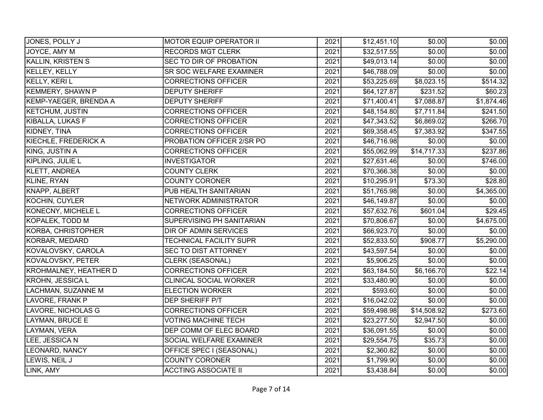| JONES, POLLY J               | MOTOR EQUIP OPERATOR II       | 2021 | \$12,451.10  | \$0.00      | \$0.00     |
|------------------------------|-------------------------------|------|--------------|-------------|------------|
| JOYCE, AMY M                 | <b>RECORDS MGT CLERK</b>      | 2021 | \$32,517.55  | \$0.00      | \$0.00     |
| <b>KALLIN, KRISTEN S</b>     | SEC TO DIR OF PROBATION       | 2021 | \$49,013.14] | \$0.00      | \$0.00     |
| <b>KELLEY, KELLY</b>         | SR SOC WELFARE EXAMINER       | 2021 | \$46,788.09  | \$0.00      | \$0.00     |
| KELLY, KERI L                | <b>CORRECTIONS OFFICER</b>    | 2021 | \$53,225.69  | \$8,023.15  | \$514.32   |
| <b>KEMMERY, SHAWN P</b>      | <b>DEPUTY SHERIFF</b>         | 2021 | \$64,127.87  | \$231.52    | \$60.23    |
| KEMP-YAEGER, BRENDA A        | <b>DEPUTY SHERIFF</b>         | 2021 | \$71,400.41  | \$7,088.87  | \$1,874.46 |
| <b>KETCHUM, JUSTIN</b>       | <b>CORRECTIONS OFFICER</b>    | 2021 | \$48,154.80  | \$7,711.84  | \$241.50   |
| KIBALLA, LUKAS F             | <b>CORRECTIONS OFFICER</b>    | 2021 | \$47,343.52  | \$6,869.02  | \$266.70   |
| KIDNEY, TINA                 | <b>CORRECTIONS OFFICER</b>    | 2021 | \$69,358.45  | \$7,383.92  | \$347.55   |
| <b>KIECHLE, FREDERICK A</b>  | PROBATION OFFICER 2/SR PO     | 2021 | \$46,716.98  | \$0.00      | \$0.00]    |
| KING, JUSTIN A               | <b>CORRECTIONS OFFICER</b>    | 2021 | \$55,062.99  | \$14,717.33 | \$237.86   |
| KIPLING, JULIE L             | <b>INVESTIGATOR</b>           | 2021 | \$27,631.46  | \$0.00      | \$746.00   |
| KLETT, ANDREA                | <b>COUNTY CLERK</b>           | 2021 | \$70,366.38  | \$0.00      | \$0.00     |
| KLINE, RYAN                  | <b>COUNTY CORONER</b>         | 2021 | \$10,295.91  | \$73.30     | \$28.80    |
| KNAPP, ALBERT                | PUB HEALTH SANITARIAN         | 2021 | \$51,765.98  | \$0.00      | \$4,365.00 |
| KOCHIN, CUYLER               | NETWORK ADMINISTRATOR         | 2021 | \$46,149.87  | \$0.00      | \$0.00     |
| KONECNY, MICHELE L           | <b>CORRECTIONS OFFICER</b>    | 2021 | \$57,632.76  | \$601.04    | \$29.45    |
| KOPALEK, TODD M              | SUPERVISING PH SANITARIAN     | 2021 | \$70,806.67  | \$0.00      | \$4,675.00 |
| KORBA, CHRISTOPHER           | <b>DIR OF ADMIN SERVICES</b>  | 2021 | \$66,923.70  | \$0.00      | \$0.00     |
| KORBAR, MEDARD               | TECHNICAL FACILITY SUPR       | 2021 | \$52,833.50  | \$908.77    | \$5,290.00 |
| KOVALOVSKY, CAROLA           | <b>SEC TO DIST ATTORNEY</b>   | 2021 | \$43,597.54  | \$0.00      | \$0.00     |
| <b>KOVALOVSKY, PETER</b>     | <b>CLERK (SEASONAL)</b>       | 2021 | \$5,906.25   | \$0.00      | \$0.00     |
| <b>KROHMALNEY, HEATHER D</b> | <b>CORRECTIONS OFFICER</b>    | 2021 | \$63,184.50  | \$6,166.70  | \$22.14    |
| <b>KROHN, JESSICA L</b>      | <b>CLINICAL SOCIAL WORKER</b> | 2021 | \$33,480.90  | \$0.00]     | \$0.00     |
| LACHMAN, SUZANNE M           | <b>ELECTION WORKER</b>        | 2021 | \$593.60     | \$0.00      | \$0.00     |
| LAVORE, FRANK P              | DEP SHERIFF P/T               | 2021 | \$16,042.02  | \$0.00      | \$0.00]    |
| LAVORE, NICHOLAS G           | <b>CORRECTIONS OFFICER</b>    | 2021 | \$59,498.98  | \$14,508.92 | \$273.60   |
| LAYMAN, BRUCE E              | <b>VOTING MACHINE TECH</b>    | 2021 | \$23,277.50  | \$2,947.50  | \$0.00     |
| LAYMAN, VERA                 | <b>DEP COMM OF ELEC BOARD</b> | 2021 | \$36,091.55  | \$0.00      | \$0.00     |
| LEE, JESSICA N               | SOCIAL WELFARE EXAMINER       | 2021 | \$29,554.75  | \$35.73     | \$0.00     |
| LEONARD, NANCY               | OFFICE SPEC I (SEASONAL)      | 2021 | \$2,360.82   | \$0.00      | \$0.00     |
| LEWIS, NEIL J                | <b>COUNTY CORONER</b>         | 2021 | \$1,799.90   | \$0.00      | \$0.00     |
| LINK, AMY                    | <b>ACCTING ASSOCIATE II</b>   | 2021 | \$3,438.84   | \$0.00      | \$0.00     |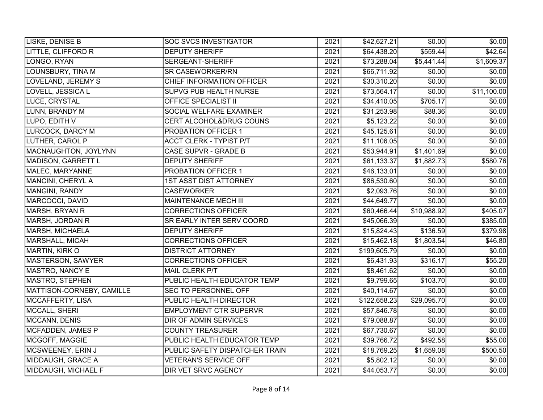| LISKE, DENISE B           | <b>SOC SVCS INVESTIGATOR</b>   | 2021 | \$42,627.21             | \$0.00      | \$0.00         |
|---------------------------|--------------------------------|------|-------------------------|-------------|----------------|
| LITTLE, CLIFFORD R        | <b>DEPUTY SHERIFF</b>          | 2021 | $\overline{$64,438.20}$ | \$559.44    | \$42.64        |
| LONGO, RYAN               | SERGEANT-SHERIFF               | 2021 | \$73,288.04             | \$5,441.44  | \$1,609.37     |
| LOUNSBURY, TINA M         | <b>SR CASEWORKER/RN</b>        | 2021 | \$66,711.92             | \$0.00      | \$0.00]        |
| <b>LOVELAND, JEREMY S</b> | CHIEF INFORMATION OFFICER      | 2021 | \$30,310.20             | \$0.00      | \$0.00         |
| LOVELL, JESSICA L         | SUPVG PUB HEALTH NURSE         | 2021 | \$73,564.17             | \$0.00      | \$11,100.00    |
| LUCE, CRYSTAL             | <b>OFFICE SPECIALIST II</b>    | 2021 | \$34,410.05             | \$705.17    | \$0.00         |
| LUNN, BRANDY M            | SOCIAL WELFARE EXAMINER        | 2021 | \$31,253.98             | \$88.36     | \$0.00         |
| LUPO, EDITH V             | CERT ALCOHOL&DRUG COUNS        | 2021 | \$5,123.22              | \$0.00      | \$0.00         |
| LURCOCK, DARCY M          | PROBATION OFFICER 1            | 2021 | \$45,125.61             | \$0.00      | $\sqrt{$0.00}$ |
| LUTHER, CAROL P           | <b>ACCT CLERK - TYPIST P/T</b> | 2021 | \$11,106.05             | \$0.00      | \$0.00         |
| MACNAUGHTON, JOYLYNN      | CASE SUPVR - GRADE B           | 2021 | \$53,944.91             | \$1,401.69  | \$0.00         |
| MADISON, GARRETT L        | <b>DEPUTY SHERIFF</b>          | 2021 | \$61,133.37             | \$1,882.73  | \$580.76       |
| MALEC, MARYANNE           | PROBATION OFFICER 1            | 2021 | \$46,133.01             | \$0.00      | \$0.00         |
| MANCINI, CHERYL A         | <b>1ST ASST DIST ATTORNEY</b>  | 2021 | \$86,530.60             | \$0.00      | \$0.00         |
| MANGINI, RANDY            | <b>CASEWORKER</b>              | 2021 | \$2,093.76              | \$0.00      | \$0.00         |
| MARCOCCI, DAVID           | MAINTENANCE MECH III           | 2021 | \$44,649.77             | \$0.00      | \$0.00         |
| MARSH, BRYAN R            | <b>CORRECTIONS OFFICER</b>     | 2021 | \$60,466.44             | \$10,988.92 | \$405.07       |
| MARSH, JORDAN R           | SR EARLY INTER SERV COORD      | 2021 | \$45,066.39             | \$0.00      | \$385.00       |
| MARSH, MICHAELA           | <b>DEPUTY SHERIFF</b>          | 2021 | \$15,824.43             | \$136.59    | \$379.98       |
| MARSHALL, MICAH           | <b>CORRECTIONS OFFICER</b>     | 2021 | $\overline{$}15,462.18$ | \$1,803.54  | \$46.80        |
| MARTIN, KIRK O            | <b>DISTRICT ATTORNEY</b>       | 2021 | \$199,605.79            | \$0.00      | \$0.00         |
| MASTERSON, SAWYER         | <b>CORRECTIONS OFFICER</b>     | 2021 | \$6,431.93              | \$316.17    | \$55.20        |
| MASTRO, NANCY E           | MAIL CLERK P/T                 | 2021 | \$8,461.62              | \$0.00      | \$0.00         |
| <b>MASTRO, STEPHEN</b>    | PUBLIC HEALTH EDUCATOR TEMP    | 2021 | \$9,799.65              | \$103.70    | \$0.00         |
| MATTISON-CORNEBY, CAMILLE | SEC TO PERSONNEL OFF           | 2021 | \$40,114.67             | \$0.00      | \$0.00         |
| MCCAFFERTY, LISA          | PUBLIC HEALTH DIRECTOR         | 2021 | \$122,658.23            | \$29,095.70 | \$0.00         |
| MCCALL, SHERI             | <b>EMPLOYMENT CTR SUPERVR</b>  | 2021 | \$57,846.78             | \$0.00      | \$0.00         |
| MCCANN, DENIS             | <b>DIR OF ADMIN SERVICES</b>   | 2021 | \$79,088.87             | \$0.00      | \$0.00         |
| MCFADDEN, JAMES P         | <b>COUNTY TREASURER</b>        | 2021 | \$67,730.67             | \$0.00      | \$0.00         |
| MCGOFF, MAGGIE            | PUBLIC HEALTH EDUCATOR TEMP    | 2021 | \$39,766.72             | \$492.58    | \$55.00        |
| MCSWEENEY, ERIN J         | PUBLIC SAFETY DISPATCHER TRAIN | 2021 | \$18,769.25             | \$1,659.08  | \$500.50       |
| MIDDAUGH, GRACE A         | <b>VETERAN'S SERVICE OFF</b>   | 2021 | \$5,802.12              | \$0.00      | \$0.00]        |
| MIDDAUGH, MICHAEL F       | <b>DIR VET SRVC AGENCY</b>     | 2021 | \$44,053.77             | \$0.00      | \$0.00         |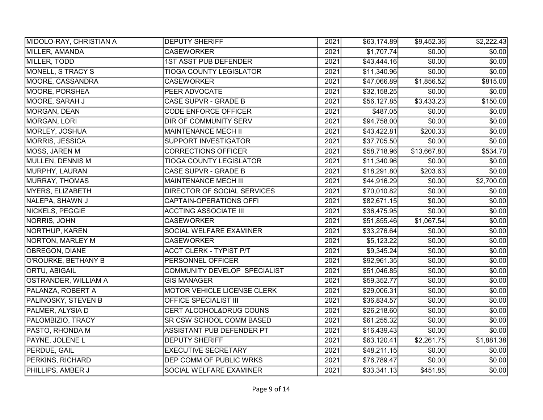| MIDOLO-RAY, CHRISTIAN A     | <b>DEPUTY SHERIFF</b>               | 2021 | $\overline{$63,174.89}$ | \$9,452.36  | \$2,222.43 |
|-----------------------------|-------------------------------------|------|-------------------------|-------------|------------|
| MILLER, AMANDA              | <b>CASEWORKER</b>                   | 2021 | \$1,707.74              | \$0.00      | \$0.00]    |
| MILLER, TODD                | <b>1ST ASST PUB DEFENDER</b>        | 2021 | \$43,444.16             | \$0.00      | \$0.00     |
| MONELL, S TRACY S           | <b>TIOGA COUNTY LEGISLATOR</b>      | 2021 | \$11,340.96             | \$0.00      | \$0.00]    |
| MOORE, CASSANDRA            | <b>CASEWORKER</b>                   | 2021 | \$47,066.89             | \$1,856.52  | \$815.00   |
| MOORE, PORSHEA              | PEER ADVOCATE                       | 2021 | \$32,158.25             | \$0.00      | \$0.00]    |
| MOORE, SARAH J              | CASE SUPVR - GRADE B                | 2021 | \$56,127.85             | \$3,433.23  | \$150.00   |
| MORGAN, DEAN                | <b>CODE ENFORCE OFFICER</b>         | 2021 | \$487.05                | \$0.00      | \$0.00     |
| MORGAN, LORI                | DIR OF COMMUNITY SERV               | 2021 | \$94,758.00             | \$0.00      | \$0.00     |
| MORLEY, JOSHUA              | MAINTENANCE MECH II                 | 2021 | \$43,422.81             | \$200.33    | \$0.00     |
| <b>MORRIS, JESSICA</b>      | <b>SUPPORT INVESTIGATOR</b>         | 2021 | \$37,705.50             | \$0.00      | \$0.00     |
| MOSS, JAREN M               | <b>CORRECTIONS OFFICER</b>          | 2021 | \$58,718.96             | \$13,667.80 | \$534.70   |
| MULLEN, DENNIS M            | <b>TIOGA COUNTY LEGISLATOR</b>      | 2021 | \$11,340.96             | \$0.00      | \$0.00     |
| MURPHY, LAURAN              | CASE SUPVR - GRADE B                | 2021 | \$18,291.80             | \$203.63    | \$0.00     |
| MURRAY, THOMAS              | <b>MAINTENANCE MECH III</b>         | 2021 | \$44,916.29             | \$0.00      | \$2,700.00 |
| MYERS, ELIZABETH            | DIRECTOR OF SOCIAL SERVICES         | 2021 | \$70,010.82             | \$0.00      | \$0.00]    |
| NALEPA, SHAWN J             | <b>CAPTAIN-OPERATIONS OFFI</b>      | 2021 | \$82,671.15             | \$0.00      | \$0.00     |
| NICKELS, PEGGIE             | <b>ACCTING ASSOCIATE III</b>        | 2021 | \$36,475.95             | \$0.00      | \$0.00     |
| NORRIS, JOHN                | <b>CASEWORKER</b>                   | 2021 | \$51,855.46             | \$1,067.54  | \$0.00     |
| NORTHUP, KAREN              | SOCIAL WELFARE EXAMINER             | 2021 | \$33,276.64             | \$0.00      | \$0.00     |
| NORTON, MARLEY M            | <b>CASEWORKER</b>                   | 2021 | \$5,123.22              | \$0.00      | \$0.00     |
| OBREGON, DIANE              | <b>ACCT CLERK - TYPIST P/T</b>      | 2021 | \$9,345.24              | \$0.00      | \$0.00     |
| O'ROURKE, BETHANY B         | PERSONNEL OFFICER                   | 2021 | \$92,961.35             | \$0.00      | \$0.00     |
| <b>ORTU, ABIGAIL</b>        | <b>COMMUNITY DEVELOP SPECIALIST</b> | 2021 | \$51,046.85             | \$0.00      | \$0.00     |
| <b>OSTRANDER, WILLIAM A</b> | <b>GIS MANAGER</b>                  | 2021 | \$59,352.77             | \$0.00      | \$0.00     |
| PALANZA, ROBERT A           | MOTOR VEHICLE LICENSE CLERK         | 2021 | \$29,006.31             | \$0.00      | \$0.00     |
| <b>PALINOSKY, STEVEN B</b>  | <b>OFFICE SPECIALIST III</b>        | 2021 | \$36,834.57             | \$0.00      | \$0.00     |
| PALMER, ALYSIA D            | CERT ALCOHOL&DRUG COUNS             | 2021 | \$26,218.60             | \$0.00      | \$0.00     |
| PALOMBIZIO, TRACY           | SR CSW SCHOOL COMM BASED            | 2021 | \$61,255.32             | \$0.00      | \$0.00     |
| PASTO, RHONDA M             | ASSISTANT PUB DEFENDER PT           | 2021 | \$16,439.43             | \$0.00      | \$0.00     |
| PAYNE, JOLENE L             | <b>DEPUTY SHERIFF</b>               | 2021 | \$63,120.41             | \$2,261.75  | \$1,881.38 |
| <b>PERDUE, GAIL</b>         | <b>EXECUTIVE SECRETARY</b>          | 2021 | \$48,211.15]            | \$0.00      | \$0.00]    |
| PERKINS, RICHARD            | DEP COMM OF PUBLIC WRKS             | 2021 | \$76,789.47             | \$0.00      | \$0.00     |
| PHILLIPS, AMBER J           | SOCIAL WELFARE EXAMINER             | 2021 | \$33,341.13             | \$451.85    | \$0.00     |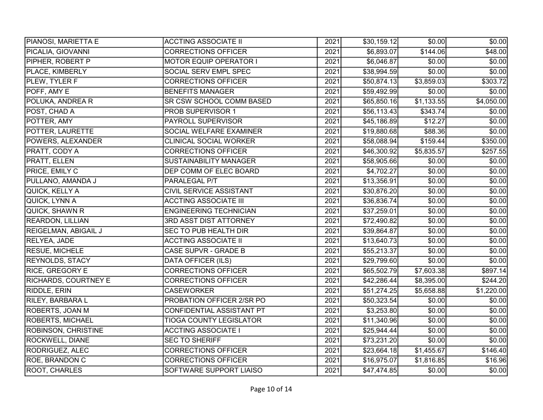| PIANOSI, MARIETTA E         | <b>ACCTING ASSOCIATE II</b>    | 2021 | \$30,159.12] | \$0.00     | \$0.00]    |
|-----------------------------|--------------------------------|------|--------------|------------|------------|
| PICALIA, GIOVANNI           | <b>CORRECTIONS OFFICER</b>     | 2021 | \$6,893.07   | \$144.06   | \$48.00    |
| PIPHER, ROBERT P            | <b>MOTOR EQUIP OPERATOR I</b>  | 2021 | \$6,046.87   | \$0.00     | \$0.00     |
| PLACE, KIMBERLY             | SOCIAL SERV EMPL SPEC          | 2021 | \$38,994.59  | \$0.00     | \$0.00     |
| PLEW, TYLER F               | <b>CORRECTIONS OFFICER</b>     | 2021 | \$50,874.13  | \$3,859.03 | \$303.72   |
| POFF, AMY E                 | <b>BENEFITS MANAGER</b>        | 2021 | \$59,492.99  | \$0.00     | \$0.00]    |
| POLUKA, ANDREA R            | SR CSW SCHOOL COMM BASED       | 2021 | \$65,850.16  | \$1,133.55 | \$4,050.00 |
| POST, CHAD A                | PROB SUPERVISOR 1              | 2021 | \$56,113.43  | \$343.74   | \$0.00     |
| POTTER, AMY                 | <b>PAYROLL SUPERVISOR</b>      | 2021 | \$45,186.89  | \$12.27    | \$0.00     |
| POTTER, LAURETTE            | SOCIAL WELFARE EXAMINER        | 2021 | \$19,880.68  | \$88.36    | \$0.00     |
| POWERS, ALEXANDER           | <b>CLINICAL SOCIAL WORKER</b>  | 2021 | \$58,088.94  | \$159.44   | \$350.00   |
| PRATT, CODY A               | <b>CORRECTIONS OFFICER</b>     | 2021 | \$46,300.92  | \$5,835.57 | \$257.55   |
| <b>PRATT, ELLEN</b>         | <b>SUSTAINABILITY MANAGER</b>  | 2021 | \$58,905.66  | \$0.00     | \$0.00]    |
| PRICE, EMILY C              | <b>DEP COMM OF ELEC BOARD</b>  | 2021 | \$4,702.27   | \$0.00     | \$0.00     |
| PULLANO, AMANDA J           | PARALEGAL P/T                  | 2021 | \$13,356.91  | \$0.00     | \$0.00     |
| QUICK, KELLY A              | CIVIL SERVICE ASSISTANT        | 2021 | \$30,876.20  | \$0.00     | \$0.00]    |
| QUICK, LYNN A               | <b>ACCTING ASSOCIATE III</b>   | 2021 | \$36,836.74  | \$0.00     | \$0.00     |
| QUICK, SHAWN R              | <b>ENGINEERING TECHNICIAN</b>  | 2021 | \$37,259.01  | \$0.00     | \$0.00     |
| <b>REARDON, LILLIAN</b>     | <b>3RD ASST DIST ATTORNEY</b>  | 2021 | \$72,490.82  | \$0.00     | \$0.00     |
| <b>REIGELMAN, ABIGAIL J</b> | SEC TO PUB HEALTH DIR          | 2021 | \$39,864.87  | \$0.00     | \$0.00     |
| RELYEA, JADE                | <b>ACCTING ASSOCIATE II</b>    | 2021 | \$13,640.73  | \$0.00     | \$0.00]    |
| RESUE, MICHELE              | CASE SUPVR - GRADE B           | 2021 | \$55,213.37  | \$0.00     | \$0.00]    |
| <b>REYNOLDS, STACY</b>      | <b>DATA OFFICER (ILS)</b>      | 2021 | \$29,799.60  | \$0.00     | \$0.00]    |
| <b>RICE, GREGORY E</b>      | <b>CORRECTIONS OFFICER</b>     | 2021 | \$65,502.79  | \$7,603.38 | \$897.14   |
| <b>RICHARDS, COURTNEY E</b> | <b>CORRECTIONS OFFICER</b>     | 2021 | \$42,286.44] | \$8,395.00 | \$244.20   |
| RIDDLE, ERIN                | <b>CASEWORKER</b>              | 2021 | \$51,274.25  | \$5,658.88 | \$1,220.00 |
| <b>RILEY, BARBARA L</b>     | PROBATION OFFICER 2/SR PO      | 2021 | \$50,323.54  | \$0.00     | \$0.00     |
| ROBERTS, JOAN M             | CONFIDENTIAL ASSISTANT PT      | 2021 | \$3,253.80   | \$0.00     | \$0.00     |
| <b>ROBERTS, MICHAEL</b>     | <b>TIOGA COUNTY LEGISLATOR</b> | 2021 | \$11,340.96  | \$0.00     | \$0.00     |
| <b>ROBINSON, CHRISTINE</b>  | <b>ACCTING ASSOCIATE I</b>     | 2021 | \$25,944.44] | \$0.00     | \$0.00     |
| <b>ROCKWELL, DIANE</b>      | <b>SEC TO SHERIFF</b>          | 2021 | \$73,231.20  | \$0.00     | \$0.00]    |
| RODRIGUEZ, ALEC             | <b>CORRECTIONS OFFICER</b>     | 2021 | \$23,664.18  | \$1,455.67 | \$146.40   |
| <b>ROE, BRANDON C</b>       | <b>CORRECTIONS OFFICER</b>     | 2021 | \$16,975.07  | \$1,816.85 | \$16.96    |
| <b>ROOT, CHARLES</b>        | SOFTWARE SUPPORT LIAISO        | 2021 | \$47,474.85  | \$0.00     | \$0.00     |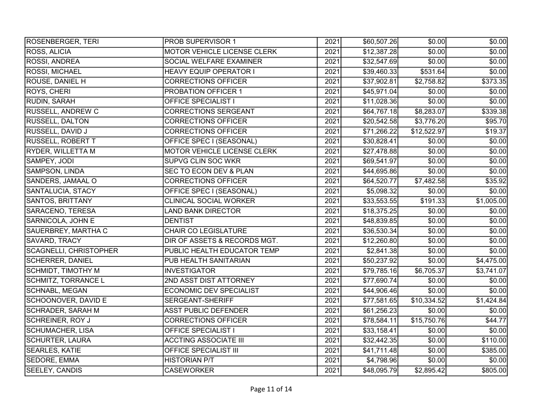| <b>ROSENBERGER, TERI</b>      | <b>PROB SUPERVISOR 1</b>       | 2021 | \$60,507.26  | \$0.00      | \$0.00]    |
|-------------------------------|--------------------------------|------|--------------|-------------|------------|
| <b>ROSS, ALICIA</b>           | MOTOR VEHICLE LICENSE CLERK    | 2021 | \$12,387.28  | \$0.00      | \$0.00     |
| ROSSI, ANDREA                 | SOCIAL WELFARE EXAMINER        | 2021 | \$32,547.69  | \$0.00      | \$0.00     |
| <b>ROSSI, MICHAEL</b>         | <b>HEAVY EQUIP OPERATOR I</b>  | 2021 | \$39,460.33  | \$531.64    | \$0.00     |
| <b>ROUSE, DANIEL H</b>        | <b>CORRECTIONS OFFICER</b>     | 2021 | \$37,902.81  | \$2,758.82  | \$373.35   |
| <b>ROYS, CHERI</b>            | PROBATION OFFICER 1            | 2021 | \$45,971.04] | \$0.00      | \$0.00]    |
| RUDIN, SARAH                  | <b>OFFICE SPECIALIST I</b>     | 2021 | \$11,028.36  | \$0.00      | \$0.00     |
| <b>RUSSELL, ANDREW C</b>      | <b>CORRECTIONS SERGEANT</b>    | 2021 | \$64,767.18  | \$8,283.07  | \$339.38   |
| <b>RUSSELL, DALTON</b>        | <b>CORRECTIONS OFFICER</b>     | 2021 | \$20,542.58  | \$3,776.20  | \$95.70    |
| RUSSELL, DAVID J              | <b>CORRECTIONS OFFICER</b>     | 2021 | \$71,266.22  | \$12,522.97 | \$19.37    |
| <b>RUSSELL, ROBERT T</b>      | OFFICE SPEC I (SEASONAL)       | 2021 | \$30,828.41  | \$0.00      | \$0.00     |
| <b>RYDER, WILLETTA M</b>      | MOTOR VEHICLE LICENSE CLERK    | 2021 | \$27,478.88  | \$0.00      | \$0.00]    |
| SAMPEY, JODI                  | <b>SUPVG CLIN SOC WKR</b>      | 2021 | \$69,541.97  | \$0.00      | \$0.00     |
| SAMPSON, LINDA                | SEC TO ECON DEV & PLAN         | 2021 | \$44,695.86  | \$0.00      | \$0.00]    |
| SANDERS, JAMAAL O             | <b>CORRECTIONS OFFICER</b>     | 2021 | \$64,520.77  | \$7,482.58  | \$35.92    |
| SANTALUCIA, STACY             | OFFICE SPEC I (SEASONAL)       | 2021 | \$5,098.32   | \$0.00      | \$0.00]    |
| <b>SANTOS, BRITTANY</b>       | <b>CLINICAL SOCIAL WORKER</b>  | 2021 | \$33,553.55  | \$191.33    | \$1,005.00 |
| SARACENO, TERESA              | <b>LAND BANK DIRECTOR</b>      | 2021 | \$18,375.25  | \$0.00      | \$0.00     |
| <b>SARNICOLA, JOHN E</b>      | <b>DENTIST</b>                 | 2021 | \$48,839.85  | \$0.00      | \$0.00     |
| SAUERBREY, MARTHA C           | <b>CHAIR CO LEGISLATURE</b>    | 2021 | \$36,530.34  | \$0.00      | \$0.00     |
| SAVARD, TRACY                 | DIR OF ASSETS & RECORDS MGT.   | 2021 | \$12,260.80  | \$0.00      | \$0.00     |
| <b>SCAGNELLI, CHRISTOPHER</b> | PUBLIC HEALTH EDUCATOR TEMP    | 2021 | \$2,841.38   | \$0.00      | \$0.00     |
| <b>SCHERRER, DANIEL</b>       | PUB HEALTH SANITARIAN          | 2021 | \$50,237.92  | \$0.00      | \$4,475.00 |
| SCHMIDT, TIMOTHY M            | <b>INVESTIGATOR</b>            | 2021 | \$79,785.16  | \$6,705.37  | \$3,741.07 |
| <b>SCHMITZ, TORRANCE L</b>    | 2ND ASST DIST ATTORNEY         | 2021 | \$77,690.74  | \$0.00      | \$0.00     |
| <b>SCHNABL, MEGAN</b>         | <b>ECONOMIC DEV SPECIALIST</b> | 2021 | \$44,906.46] | \$0.00      | \$0.00]    |
| SCHOONOVER, DAVID E           | <b>SERGEANT-SHERIFF</b>        | 2021 | \$77,581.65  | \$10,334.52 | \$1,424.84 |
| <b>SCHRADER, SARAH M</b>      | <b>ASST PUBLIC DEFENDER</b>    | 2021 | \$61,256.23  | \$0.00      | \$0.00]    |
| <b>SCHREINER, ROY J</b>       | <b>CORRECTIONS OFFICER</b>     | 2021 | \$78,584.11  | \$15,750.76 | \$44.77    |
| <b>SCHUMACHER, LISA</b>       | <b>OFFICE SPECIALIST I</b>     | 2021 | \$33,158.41  | \$0.00      | \$0.00     |
| <b>SCHURTER, LAURA</b>        | <b>ACCTING ASSOCIATE III</b>   | 2021 | \$32,442.35  | \$0.00      | \$110.00   |
| <b>SEARLES, KATIE</b>         | OFFICE SPECIALIST III          | 2021 | \$41,711.48] | \$0.00      | \$385.00   |
| <b>SEDORE, EMMA</b>           | <b>HISTORIAN P/T</b>           | 2021 | \$4,798.96   | \$0.00      | \$0.00]    |
| <b>SEELEY, CANDIS</b>         | <b>CASEWORKER</b>              | 2021 | \$48,095.79  | \$2,895.42  | \$805.00   |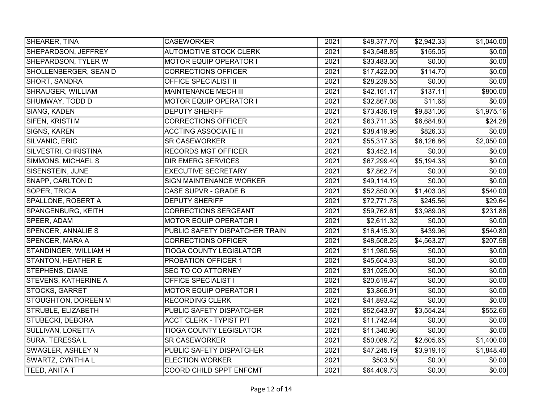| SHEARER, TINA               | <b>CASEWORKER</b>              | 2021 | \$48,377.70  | \$2,942.33 | \$1,040.00     |
|-----------------------------|--------------------------------|------|--------------|------------|----------------|
| SHEPARDSON, JEFFREY         | <b>AUTOMOTIVE STOCK CLERK</b>  | 2021 | \$43,548.85  | \$155.05   | \$0.00         |
| SHEPARDSON, TYLER W         | <b>MOTOR EQUIP OPERATOR I</b>  | 2021 | \$33,483.30  | \$0.00     | \$0.00         |
| SHOLLENBERGER, SEAN D       | <b>CORRECTIONS OFFICER</b>     | 2021 | \$17,422.00  | \$114.70   | \$0.00         |
| SHORT, SANDRA               | <b>OFFICE SPECIALIST II</b>    | 2021 | \$28,239.55  | \$0.00     | \$0.00         |
| SHRAUGER, WILLIAM           | <b>MAINTENANCE MECH III</b>    | 2021 | \$42,161.17  | \$137.11   | \$800.00       |
| SHUMWAY, TODD D             | <b>MOTOR EQUIP OPERATOR I</b>  | 2021 | \$32,867.08  | \$11.68    | \$0.00         |
| <b>SIANG, KADEN</b>         | <b>DEPUTY SHERIFF</b>          | 2021 | \$73,436.19  | \$9,831.06 | \$1,975.16     |
| SIFEN, KRISTI M             | <b>CORRECTIONS OFFICER</b>     | 2021 | \$63,711.35  | \$6,684.80 | \$24.28        |
| <b>SIGNS, KAREN</b>         | <b>ACCTING ASSOCIATE III</b>   | 2021 | \$38,419.96  | \$826.33   | \$0.00         |
| SILVANIC, ERIC              | <b>SR CASEWORKER</b>           | 2021 | \$55,317.38  | \$6,126.86 | \$2,050.00     |
| SILVESTRI, CHRISTINA        | <b>RECORDS MGT OFFICER</b>     | 2021 | \$3,452.14   | \$0.00     | $\sqrt{$0.00}$ |
| SIMMONS, MICHAEL S          | <b>DIR EMERG SERVICES</b>      | 2021 | \$67,299.40  | 5,194.38   | \$0.00]        |
| SISENSTEIN, JUNE            | <b>EXECUTIVE SECRETARY</b>     | 2021 | \$7,862.74   | \$0.00     | \$0.00         |
| <b>SNAPP, CARLTON D</b>     | <b>SIGN MAINTENANCE WORKER</b> | 2021 | \$49,114.19  | \$0.00     | \$0.00         |
| SOPER, TRICIA               | CASE SUPVR - GRADE B           | 2021 | \$52,850.00  | \$1,403.08 | \$540.00       |
| SPALLONE, ROBERT A          | <b>DEPUTY SHERIFF</b>          | 2021 | \$72,771.78  | \$245.56   | \$29.64        |
| SPANGENBURG, KEITH          | <b>CORRECTIONS SERGEANT</b>    | 2021 | \$59,762.61  | \$3,989.08 | \$231.86       |
| SPEER, ADAM                 | <b>MOTOR EQUIP OPERATOR I</b>  | 2021 | \$2,611.32   | \$0.00     | \$0.00         |
| <b>SPENCER, ANNALIE S</b>   | PUBLIC SAFETY DISPATCHER TRAIN | 2021 | \$16,415.30  | \$439.96   | \$540.80       |
| <b>SPENCER, MARA A</b>      | <b>CORRECTIONS OFFICER</b>     | 2021 | \$48,508.25  | \$4,563.27 | \$207.58       |
| STANDINGER, WILLIAM H       | <b>TIOGA COUNTY LEGISLATOR</b> | 2021 | \$11,980.56  | \$0.00     | \$0.00]        |
| <b>STANTON, HEATHER E</b>   | <b>PROBATION OFFICER 1</b>     | 2021 | \$45,604.93  | \$0.00     | \$0.00         |
| STEPHENS, DIANE             | <b>SEC TO CO ATTORNEY</b>      | 2021 | \$31,025.00  | \$0.00     | \$0.00         |
| <b>STEVENS, KATHERINE A</b> | <b>OFFICE SPECIALIST I</b>     | 2021 | \$20,619.47  | \$0.00     | \$0.00         |
| <b>STOCKS, GARRET</b>       | <b>MOTOR EQUIP OPERATOR I</b>  | 2021 | \$3,866.91   | \$0.00     | \$0.00         |
| <b>STOUGHTON, DOREEN M</b>  | <b>RECORDING CLERK</b>         | 2021 | \$41,893.42  | \$0.00     | \$0.00]        |
| <b>STRUBLE, ELIZABETH</b>   | PUBLIC SAFETY DISPATCHER       | 2021 | \$52,643.97  | \$3,554.24 | \$552.60       |
| STUBECKI, DEBORA            | <b>ACCT CLERK - TYPIST P/T</b> | 2021 | \$11,742.44] | \$0.00     | \$0.00]        |
| <b>SULLIVAN, LORETTA</b>    | <b>TIOGA COUNTY LEGISLATOR</b> | 2021 | \$11,340.96  | \$0.00     | \$0.00         |
| <b>SURA, TERESSAL</b>       | <b>SR CASEWORKER</b>           | 2021 | \$50,089.72  | \$2,605.65 | \$1,400.00]    |
| SWAGLER, ASHLEY N           | PUBLIC SAFETY DISPATCHER       | 2021 | \$47,245.19  | \$3,919.16 | \$1,848.40     |
| <b>SWARTZ, CYNTHIA L</b>    | <b>ELECTION WORKER</b>         | 2021 | \$503.50     | \$0.00     | \$0.00         |
| TEED, ANITA T               | COORD CHILD SPPT ENFCMT        | 2021 | \$64,409.73  | \$0.00     | \$0.00         |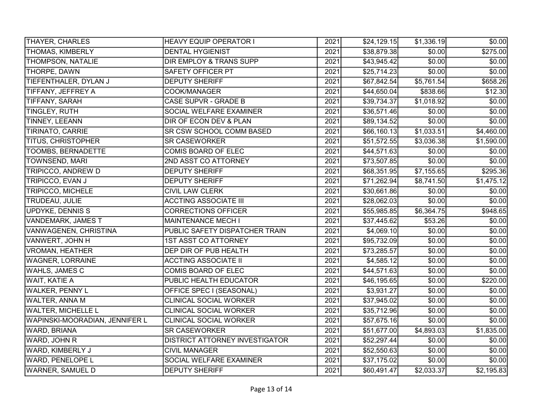| <b>THAYER, CHARLES</b>         | <b>HEAVY EQUIP OPERATOR I</b>  | 2021 | \$24,129.15             | \$1,336.19             | \$0.00         |
|--------------------------------|--------------------------------|------|-------------------------|------------------------|----------------|
| <b>THOMAS, KIMBERLY</b>        | <b>DENTAL HYGIENIST</b>        | 2021 | \$38,879.38             | \$0.00                 | \$275.00       |
| <b>THOMPSON, NATALIE</b>       | DIR EMPLOY & TRANS SUPP        | 2021 | \$43,945.42             | \$0.00                 | \$0.00         |
| THORPE, DAWN                   | <b>SAFETY OFFICER PT</b>       | 2021 | \$25,714.23             | \$0.00                 | \$0.00         |
| TIEFENTHALER, DYLAN J          | <b>DEPUTY SHERIFF</b>          | 2021 | $\overline{$67,842.54}$ | \$5,761.54             | \$658.26       |
| TIFFANY, JEFFREY A             | COOK/MANAGER                   | 2021 | \$44,650.04             | \$838.66               | \$12.30        |
| <b>TIFFANY, SARAH</b>          | CASE SUPVR - GRADE B           | 2021 | \$39,734.37             | \$1,018.92             | \$0.00         |
| TINGLEY, RUTH                  | SOCIAL WELFARE EXAMINER        | 2021 | \$36,571.46             | \$0.00                 | \$0.00         |
| <b>TINNEY, LEEANN</b>          | DIR OF ECON DEV & PLAN         | 2021 | \$89,134.52             | \$0.00                 | \$0.00         |
| <b>TIRINATO, CARRIE</b>        | SR CSW SCHOOL COMM BASED       | 2021 | \$66,160.13]            | \$1,033.51             | \$4,460.00     |
| <b>TITUS, CHRISTOPHER</b>      | <b>SR CASEWORKER</b>           | 2021 | \$51,572.55             | \$3,036.38             | \$1,590.00     |
| <b>TOOMBS, BERNADETTE</b>      | <b>COMIS BOARD OF ELEC</b>     | 2021 | \$44,571.63             | \$0.00                 | \$0.00         |
| <b>TOWNSEND, MARI</b>          | 2ND ASST CO ATTORNEY           | 2021 | \$73,507.85             | \$0.00                 | \$0.00]        |
| TRIPICCO, ANDREW D             | <b>DEPUTY SHERIFF</b>          | 2021 | \$68,351.95             | $\overline{$7,155.65}$ | \$295.36       |
| TRIPICCO, EVAN J               | <b>DEPUTY SHERIFF</b>          | 2021 | $\overline{$}71,262.94$ | \$8,741.50             | \$1,475.12     |
| <b>TRIPICCO, MICHELE</b>       | <b>CIVIL LAW CLERK</b>         | 2021 | \$30,661.86             | $\sqrt{$0.00}$         | \$0.00]        |
| TRUDEAU, JULIE                 | <b>ACCTING ASSOCIATE III</b>   | 2021 | \$28,062.03             | \$0.00                 | \$0.00         |
| <b>UPDYKE, DENNIS S</b>        | <b>CORRECTIONS OFFICER</b>     | 2021 | \$55,985.85             | \$6,364.75             | \$948.65       |
| <b>VANDEMARK, JAMES T</b>      | <b>MAINTENANCE MECH I</b>      | 2021 | \$37,445.62             | \$53.26                | \$0.00         |
| VANWAGENEN, CHRISTINA          | PUBLIC SAFETY DISPATCHER TRAIN | 2021 | \$4,069.10              | \$0.00                 | \$0.00         |
| VANWERT, JOHN H                | <b>1ST ASST CO ATTORNEY</b>    | 2021 | \$95,732.09             | \$0.00                 | \$0.00         |
| <b>VROMAN, HEATHER</b>         | DEP DIR OF PUB HEALTH          | 2021 | \$73,285.57             | \$0.00                 | \$0.00         |
| <b>WAGNER, LORRAINE</b>        | <b>ACCTING ASSOCIATE II</b>    | 2021 | \$4,585.12              | \$0.00                 | \$0.00         |
| <b>WAHLS, JAMES C</b>          | <b>COMIS BOARD OF ELEC</b>     | 2021 | \$44,571.63             | \$0.00                 | \$0.00         |
| <b>WAIT, KATIE A</b>           | PUBLIC HEALTH EDUCATOR         | 2021 | \$46,195.65             | \$0.00                 | \$220.00       |
| <b>WALKER, PENNY L</b>         | OFFICE SPEC I (SEASONAL)       | 2021 | \$3,931.27              | \$0.00                 | $\sqrt{$0.00}$ |
| WALTER, ANNA M                 | <b>CLINICAL SOCIAL WORKER</b>  | 2021 | \$37,945.02             | \$0.00                 | \$0.00         |
| <b>WALTER, MICHELLE L</b>      | <b>CLINICAL SOCIAL WORKER</b>  | 2021 | \$35,712.96             | \$0.00                 | \$0.00         |
| WAPINSKI-MOORADIAN, JENNIFER L | <b>CLINICAL SOCIAL WORKER</b>  | 2021 | \$57,675.16             | \$0.00                 | \$0.00         |
| <b>WARD, BRIANA</b>            | <b>SR CASEWORKER</b>           | 2021 | \$51,677.00             | \$4,893.03             | \$1,835.00     |
| WARD, JOHN R                   | DISTRICT ATTORNEY INVESTIGATOR | 2021 | \$52,297.44             | \$0.00                 | \$0.00]        |
| WARD, KIMBERLY J               | <b>CIVIL MANAGER</b>           | 2021 | \$52,550.63             | \$0.00                 | \$0.00]        |
| <b>WARD, PENELOPE L</b>        | SOCIAL WELFARE EXAMINER        | 2021 | \$37,175.02             | \$0.00                 | \$0.00         |
| <b>WARNER, SAMUEL D</b>        | <b>DEPUTY SHERIFF</b>          | 2021 | \$60,491.47             | \$2,033.37             | \$2,195.83     |